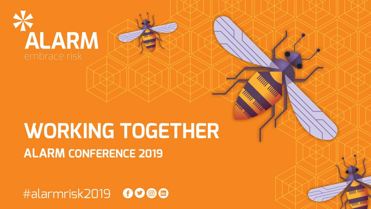

### **WORKING TOGETHER ALARM CONFERENCE 2019**

#alarmrisk2019 0000

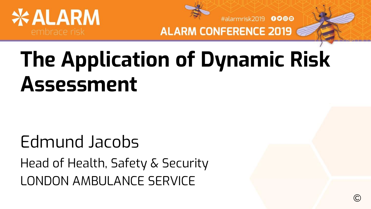



#alarmrisk2019 0000

©

## **The Application of Dynamic Risk Assessment**

### Edmund Jacobs Head of Health, Safety & Security LONDON AMBULANCE SERVICE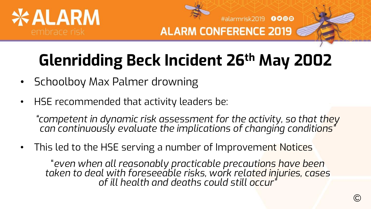

#alarmrisk2019 0000 **ALARM CONFERENCE 2019** 

### **Glenridding Beck Incident 26th May 2002**

- Schoolboy Max Palmer drowning
- HSE recommended that activity leaders be:

*"competent in dynamic risk assessment for the activity, so that they can continuously evaluate the implications of changing conditions"*

This led to the HSE serving a number of Improvement Notices

"*even when all reasonably practicable precautions have been taken to deal with foreseeable risks, work related injuries, cases of ill health and deaths could still occur"*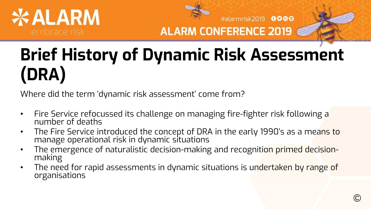



#alarmrisk2019 0000

### **Brief History of Dynamic Risk Assessment (DRA)**

Where did the term 'dynamic risk assessment' come from?

- Fire Service refocussed its challenge on managing fire-fighter risk following a number of deaths
- The Fire Service introduced the concept of DRA in the early 1990's as a means to manage operational risk in dynamic situations
- The emergence of naturalistic decision-making and recognition primed decisionmaking
- The need for rapid assessments in dynamic situations is undertaken by range of organisations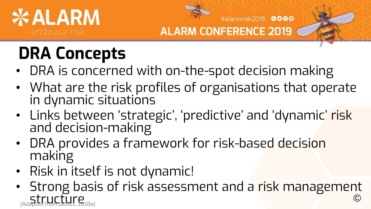



#alarmrisk2019 0000

### **DRA Concepts**

- DRA is concerned with on-the-spot decision making
- What are the risk profiles of organisations that operate in dynamic situations
- Links between 'strategic', 'predictive' and 'dynamic' risk and decision-making
- DRA provides a framework for risk-based decision making
- Risk in itself is not dynamic!
- Strong basis of risk assessment and a risk management  $Structure$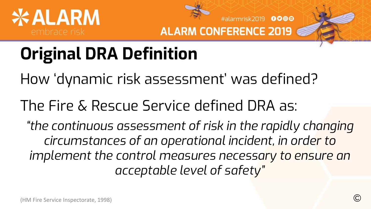



#alarmrisk2019 0000

### **Original DRA Definition**

How 'dynamic risk assessment' was defined?

The Fire & Rescue Service defined DRA as:

*"the continuous assessment of risk in the rapidly changing circumstances of an operational incident, in order to implement the control measures necessary to ensure an acceptable level of safety"*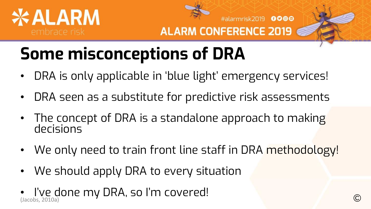



#alarmrisk2019 0000

### **Some misconceptions of DRA**

- DRA is only applicable in 'blue light' emergency services!
- DRA seen as a substitute for predictive risk assessments
- The concept of DRA is a standalone approach to making decisions
- We only need to train front line staff in DRA methodology!
- We should apply DRA to every situation
- I've done my DRA, so I'm covered!  $($ Jacobs, 2010a)  $\bigcirc$   $\bigcirc$   $\bigcirc$   $\bigcirc$   $\bigcirc$   $\bigcirc$   $\bigcirc$   $\bigcirc$   $\bigcirc$   $\bigcirc$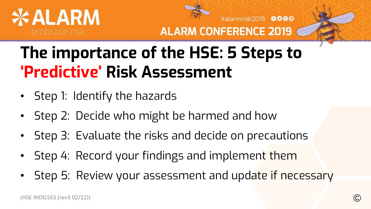

#alarmrisk2019 0000

### **The importance of the HSE: 5 Steps to 'Predictive' Risk Assessment**

- Step 1: Identify the hazards
- Step 2: Decide who might be harmed and how
- Step 3: Evaluate the risks and decide on precautions
- Step 4: Record your findings and implement them
- Step 5: Review your assessment and update if necessary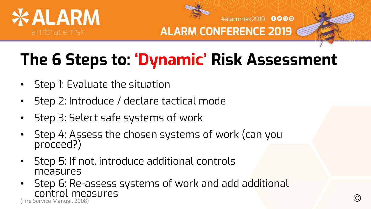



#alarmrisk2019 0000

### **The 6 Steps to: 'Dynamic' Risk Assessment**

- Step 1: Evaluate the situation
- Step 2: Introduce / declare tactical mode
- Step 3: Select safe systems of work
- Step 4: Assess the chosen systems of work (can you proceed?)
- Step 5: If not, introduce additional controls measures
- Step 6: Re-assess systems of work and add additional Control measures (Fire Service Manual, 2008) ©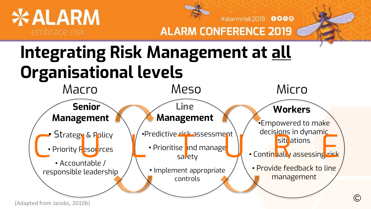

#alarmrisk2019 0000

### **Integrating Risk Management at all Organisational levels**

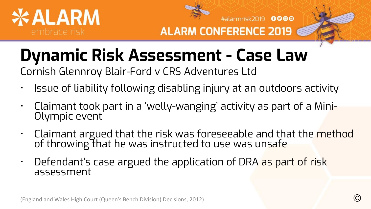

#alarmrisk2019 0000 **ALARM CONFERENCE 2019** 

### **Dynamic Risk Assessment - Case Law**

Cornish Glennroy Blair-Ford v CRS Adventures Ltd

- Issue of liability following disabling injury at an outdoors activity
- Claimant took part in a 'welly-wanging' activity as part of a Mini-Olympic event
- Claimant argued that the risk was foreseeable and that the method of throwing that he was instructed to use was unsafe
- Defendant's case argued the application of DRA as part of risk assessment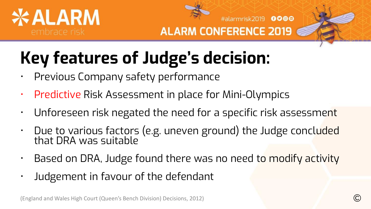

#alarmrisk2019 0000

### **Key features of Judge's decision:**

- Previous Company safety performance
- Predictive Risk Assessment in place for Mini-Olympics
- Unforeseen risk negated the need for a specific risk assessment
- Due to various factors (e.g. uneven ground) the Judge concluded that DRA was suitable
- Based on DRA, Judge found there was no need to modify activity
- Judgement in favour of the defendant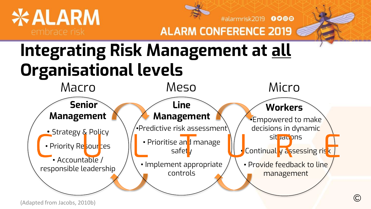

#alarmrisk2019 0000

### **Integrating Risk Management at all Organisational levels**

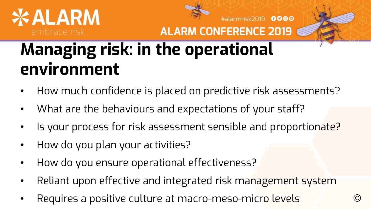



#alarmrisk2019 0000 **ALARM CONFERENCE 2019** 

### **Managing risk: in the operational environment**

- How much confidence is placed on predictive risk assessments?
- What are the behaviours and expectations of your staff?
- Is your process for risk assessment sensible and proportionate?
- How do you plan your activities?
- How do you ensure operational effectiveness?
- Reliant upon effective and integrated risk management system
- Requires a positive culture at macro-meso-micro levels ©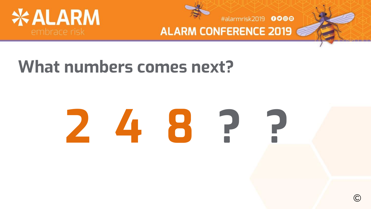



#alarmrisk2019 0000

### **What numbers comes next?**

# **2 4 8 ? ?**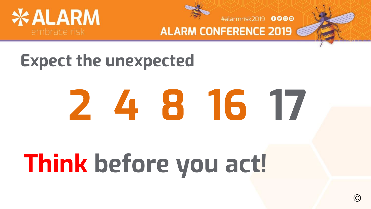

#alarmrisk2019 0000

### **Expect the unexpected**

# **2 4 8 16 17**

## **Think before you act!**

©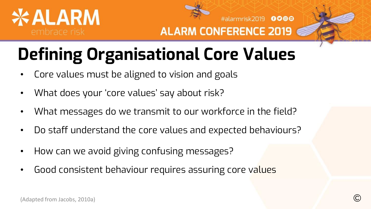

#alarmrisk2019 0000

## **Defining Organisational Core Values**

- Core values must be aligned to vision and goals
- What does your 'core values' say about risk?
- What messages do we transmit to our workforce in the field?
- Do staff understand the core values and expected behaviours?
- How can we avoid giving confusing messages?
- Good consistent behaviour requires assuring core values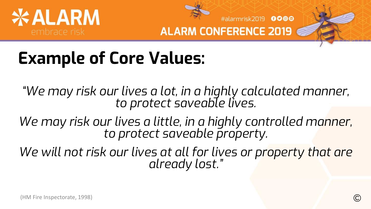



#alarmrisk2019 0000

### **Example of Core Values:**

*"We may risk our lives a lot, in a highly calculated manner, to protect saveable lives.*

*We may risk our lives a little, in a highly controlled manner, to protect saveable property.*

We will not risk our lives at all for lives or property that are *already lost."*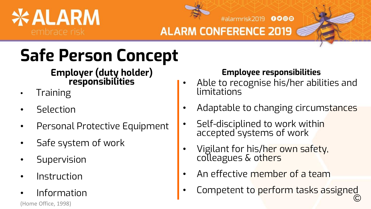



#alarmrisk2019 0000

**ALARM CONFERENCE 2019** 

### **Safe Person Concept**

### **Employer (duty holder) responsibilities**

- **Training**
- **Selection**
- Personal Protective Equipment
- Safe system of work
- **Supervision**
- **Instruction**
- Information

#### **Employee responsibilities**

- Able to recognise his/her abilities and limitations
	- Adaptable to changing circumstances
	- Self-disciplined to work within accepted systems of work
	- Vigilant for his/her own safety, colleagues & o<mark>thers</mark>
	- An effective member of a team
- Competent to perform tasks assigned  $\blacksquare$   $\blacksquare$   $\blacksquare$   $\blacksquare$   $\blacksquare$   $\blacksquare$   $\blacksquare$   $\blacksquare$   $\blacksquare$   $\blacksquare$   $\blacksquare$   $\blacksquare$   $\blacksquare$   $\blacksquare$   $\blacksquare$   $\blacksquare$   $\blacksquare$   $\blacksquare$   $\blacksquare$   $\blacksquare$   $\blacksquare$   $\blacksquare$   $\blacksquare$   $\blacksquare$   $\blacksquare$   $\blacksquare$   $\blacksquare$   $\blacksquare$   $\blacksquare$   $\blacksquare$   $\blacksquare$   $\blacks$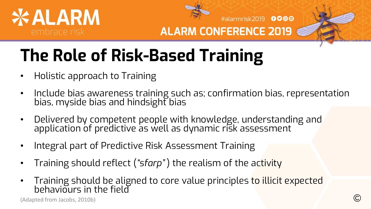

#alarmrisk2019 0000

### **The Role of Risk-Based Training**

- Holistic approach to Training
- Include bias awareness training such as; confirmation bias, representation bias, myside bias and hindsight bias
- Delivered by competent people with knowledge, understanding and application of predictive as well as dynamic risk assessment
- Integral part of Predictive Risk Assessment Training
- Training should reflect (*"sfarp"* ) the realism of the activity
- Training should be aligned to core value principles to illicit expected behaviours in the field

(Adapted from Jacobs, 2010b) **C**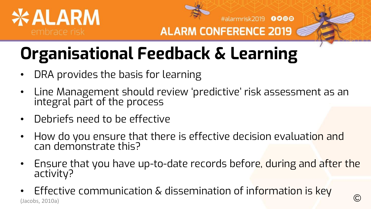

#alarmrisk2019 0000

### **Organisational Feedback & Learning**

- DRA provides the basis for learning
- Line Management should review 'predictive' risk assessment as an integral part of the process
- Debriefs need to be effective
- How do you ensure that there is effective decision evaluation and can demonstrate this?
- Ensure that you have up-to-date records before, during and after the activity?
- Effective communication  $\&$  dissemination of information is key (Jacobs, 2010a) Chemication & Gibbert Midtion of information is itey Continued by Continued by Continued by Co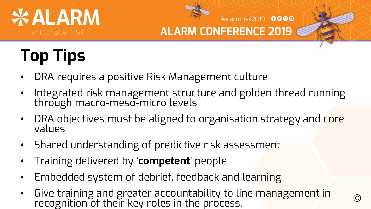



#alarmrisk2019 0000

## **Top Tips**

- DRA requires a positive Risk Management culture
- Integrated risk management structure and golden thread running through macro-meso-micro levels
- DRA objectives must be aligned to organisation strategy and core values
- Shared understanding of predictive risk assessment
- Training delivered by '**competent**' people
- Embedded system of debrief, feedback and learning
- Give training and greater accountability to line management in aive training and greater accodited<br>intigrity to three process.  $\bullet$  or the process of  $\bullet$  or the process.